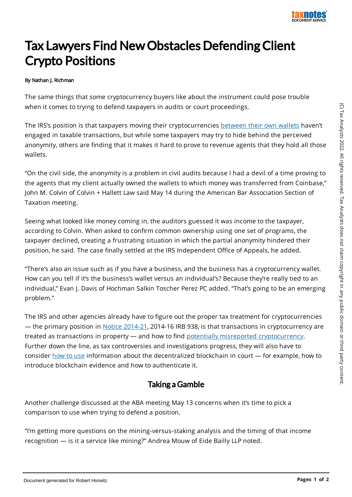

## Tax Lawyers Find New Obstacles DefendingClient Crypto Positions

## By Nathan J. Richman

The same things that some cryptocurrency buyers like about the instrument could pose trouble when it comes to trying to defend taxpayers in audits or court proceedings.

The IRS's position is that taxpayers moving their cryptocurrencies between their own wallets haven't engaged in taxable transactions, but while some taxpayers may try to hide behind the perceived anonymity, others are finding that it makes it hard to prove to revenue agents that they hold all those wallets.

"On the civil side, the anonymity is a problem in civil audits because I had a devil of a time proving to the agents that my client actually owned the wallets to which money was transferred from Coinbase," John M. Colvin of Colvin + Hallett Law said May 14 during the American Bar Association Section of Taxation meeting.

Seeing what looked like money coming in, the auditors guessed it was income to the taxpayer, according to Colvin. When asked to confirm common ownership using one set of programs, the taxpayer declined, creating a frustrating situation in which the partial anonymity hindered their position, he said. The case finally settled at the IRS Independent Office of Appeals, he added.

"There's also an issue such as if you have a business, and the business has a cryptocurrency wallet. How can you tell if it's the business's wallet versus an individual's? Because they're really tied to an individual," Evan J. Davis of Hochman Salkin Toscher Perez PC added. "That's going to be an emerging problem."

The IRS and other agencies already have to figure out the proper tax treatment for cryptocurrencies — the primary position in Notice 2014-21, 2014-16 IRB 938, is that transactions in cryptocurrency are treated as transactions in property — and how to find potentially misreported cryptocurrency. Further down the line, as tax controversies and investigations progress, they will also have to consider how to use information about the decentralized blockchain in court — for example, how to introduce blockchain evidence and how to authenticate it.

## Taking a Gamble

Another challenge discussed at the ABA meeting May 13 concerns when it's time to pick a comparison to use when trying to defend a position.

"I'm getting more questions on the mining-versus-staking analysis and the timing of that income recognition — is it a service like mining?" Andrea Mouw of Eide Bailly LLP noted.